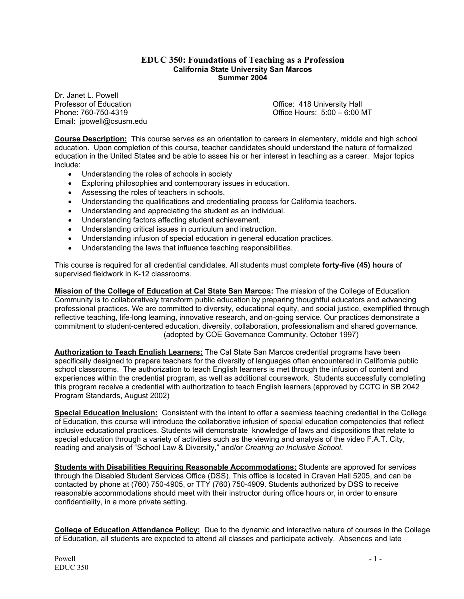### **EDUC 350: Foundations of Teaching as a Profession California State University San Marcos Summer 2004**

Dr. Janet L. Powell<br>Professor of Education Professor of Education **Professor of Education** Christian Active Christian Active Christian Office: 418 University Hall<br>
Phone: 760-750-4319 **Christian Active Christian Active Christian Active Christian Active Christian Ac** Email: jpowell@csusm.edu

Office Hours:  $5:00-6:00$  MT

**Course Description:** This course serves as an orientation to careers in elementary, middle and high school education. Upon completion of this course, teacher candidates should understand the nature of formalized education in the United States and be able to asses his or her interest in teaching as a career. Major topics include:

- Understanding the roles of schools in society
- Exploring philosophies and contemporary issues in education.
- Assessing the roles of teachers in schools.
- Understanding the qualifications and credentialing process for California teachers.
- Understanding and appreciating the student as an individual.
- Understanding factors affecting student achievement.
- Understanding critical issues in curriculum and instruction.
- Understanding infusion of special education in general education practices.
- Understanding the laws that influence teaching responsibilities.

This course is required for all credential candidates. All students must complete **forty-five (45) hours** of supervised fieldwork in K-12 classrooms.

**Mission of the College of Education at Cal State San Marcos:** The mission of the College of Education Community is to collaboratively transform public education by preparing thoughtful educators and advancing professional practices. We are committed to diversity, educational equity, and social justice, exemplified through reflective teaching, life-long learning, innovative research, and on-going service. Our practices demonstrate a commitment to student-centered education, diversity, collaboration, professionalism and shared governance. (adopted by COE Governance Community, October 1997)

**Authorization to Teach English Learners:** The Cal State San Marcos credential programs have been specifically designed to prepare teachers for the diversity of languages often encountered in California public school classrooms. The authorization to teach English learners is met through the infusion of content and experiences within the credential program, as well as additional coursework. Students successfully completing this program receive a credential with authorization to teach English learners.(approved by CCTC in SB 2042 Program Standards, August 2002)

**Special Education Inclusion:** Consistent with the intent to offer a seamless teaching credential in the College of Education, this course will introduce the collaborative infusion of special education competencies that reflect inclusive educational practices. Students will demonstrate knowledge of laws and dispositions that relate to special education through a variety of activities such as the viewing and analysis of the video F.A.T. City, reading and analysis of "School Law & Diversity," and/or *Creating an Inclusive School*.

**Students with Disabilities Requiring Reasonable Accommodations:** Students are approved for services through the Disabled Student Services Office (DSS). This office is located in Craven Hall 5205, and can be contacted by phone at (760) 750-4905, or TTY (760) 750-4909. Students authorized by DSS to receive reasonable accommodations should meet with their instructor during office hours or, in order to ensure confidentiality, in a more private setting.

**College of Education Attendance Policy:** Due to the dynamic and interactive nature of courses in the College of Education, all students are expected to attend all classes and participate actively. Absences and late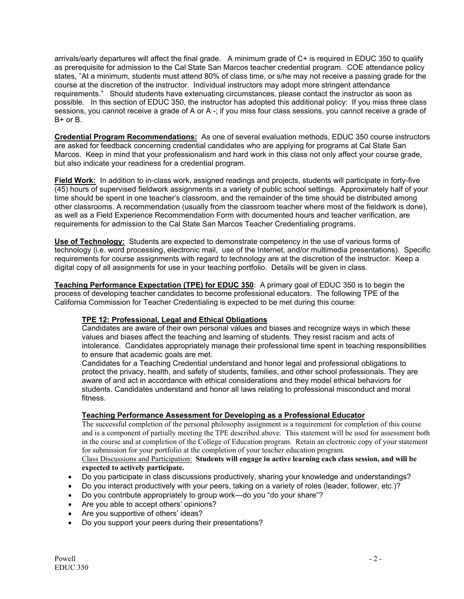arrivals/early departures will affect the final grade. A minimum grade of C+ is required in EDUC 350 to qualify as prerequisite for admission to the Cal State San Marcos teacher credential program. COE attendance policy states, "At a minimum, students must attend 80% of class time, or s/he may not receive a passing grade for the course at the discretion of the instructor. Individual instructors may adopt more stringent attendance requirements." Should students have extenuating circumstances, please contact the instructor as soon as possible. In this section of EDUC 350, the instructor has adopted this additional policy: If you miss three class sessions, you cannot receive a grade of A or A -; if you miss four class sessions, you cannot receive a grade of B+ or B.

**Credential Program Recommendations:** As one of several evaluation methods, EDUC 350 course instructors are asked for feedback concerning credential candidates who are applying for programs at Cal State San Marcos. Keep in mind that your professionalism and hard work in this class not only affect your course grade, but also indicate your readiness for a credential program.

**Field Work:** In addition to in-class work, assigned readings and projects, students will participate in forty-five (45) hours of supervised fieldwork assignments in a variety of public school settings. Approximately half of your time should be spent in one teacher's classroom, and the remainder of the time should be distributed among other classrooms. A recommendation (usually from the classroom teacher where most of the fieldwork is done), as well as a Field Experience Recommendation Form with documented hours and teacher verification, are requirements for admission to the Cal State San Marcos Teacher Credentialing programs.

**Use of Technology:** Students are expected to demonstrate competency in the use of various forms of technology (i.e. word processing, electronic mail, use of the Internet, and/or multimedia presentations). Specific requirements for course assignments with regard to technology are at the discretion of the instructor. Keep a digital copy of all assignments for use in your teaching portfolio. Details will be given in class.

**Teaching Performance Expectation (TPE) for EDUC 350**: A primary goal of EDUC 350 is to begin the process of developing teacher candidates to become professional educators. The following TPE of the California Commission for Teacher Credentialing is expected to be met during this course:

## **TPE 12: Professional, Legal and Ethical Obligations**

Candidates are aware of their own personal values and biases and recognize ways in which these values and biases affect the teaching and learning of students. They resist racism and acts of intolerance. Candidates appropriately manage their professional time spent in teaching responsibilities to ensure that academic goals are met.

Candidates for a Teaching Credential understand and honor legal and professional obligations to protect the privacy, health, and safety of students, families, and other school professionals. They are aware of and act in accordance with ethical considerations and they model ethical behaviors for students. Candidates understand and honor all laws relating to professional misconduct and moral fitness.

## **Teaching Performance Assessment for Developing as a Professional Educator**

The successful completion of the personal philosophy assignment is a requirement for completion of this course and is a component of partially meeting the TPE described above. This statement will be used for assessment both in the course and at completion of the College of Education program. Retain an electronic copy of your statement for submission for your portfolio at the completion of your teacher education program.

#### Class Discussions and Participation: **Students will engage in active learning each class session, and will be expected to actively participate.**

- Do you participate in class discussions productively, sharing your knowledge and understandings?
- Do you interact productively with your peers, taking on a variety of roles (leader, follower, etc.)?
- Do you contribute appropriately to group work—do you "do your share"?
- Are you able to accept others' opinions?
- Are you supportive of others' ideas?
- Do you support your peers during their presentations?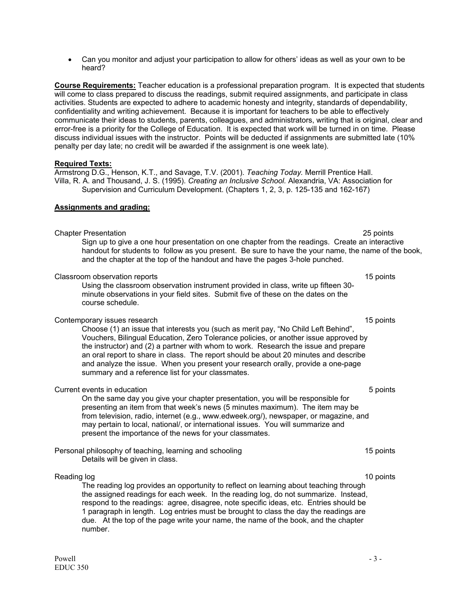• Can you monitor and adjust your participation to allow for others' ideas as well as your own to be heard?

**Course Requirements:** Teacher education is a professional preparation program. It is expected that students will come to class prepared to discuss the readings, submit required assignments, and participate in class activities. Students are expected to adhere to academic honesty and integrity, standards of dependability, confidentiality and writing achievement. Because it is important for teachers to be able to effectively communicate their ideas to students, parents, colleagues, and administrators, writing that is original, clear and error-free is a priority for the College of Education. It is expected that work will be turned in on time. Please discuss individual issues with the instructor. Points will be deducted if assignments are submitted late (10% penalty per day late; no credit will be awarded if the assignment is one week late).

### **Required Texts:**

Armstrong D.G., Henson, K.T., and Savage, T.V. (2001). *Teaching Today.* Merrill Prentice Hall. Villa, R. A. and Thousand, J. S. (1995). *Creating an Inclusive School.* Alexandria, VA: Association for Supervision and Curriculum Development. (Chapters 1, 2, 3, p. 125-135 and 162-167)

## **Assignments and grading:**

## Chapter Presentation 25 points

 Sign up to give a one hour presentation on one chapter from the readings. Create an interactive handout for students to follow as you present. Be sure to have the your name, the name of the book, and the chapter at the top of the handout and have the pages 3-hole punched.

## Classroom observation reports 15 points 15 points 15 points 15 points 15 points 15 points 15 points 15 points 15 points 15 points 15 points 15 points 15 points 15 points 15 points 15 points 15 points 15 points 15 points 15

Using the classroom observation instrument provided in class, write up fifteen 30 minute observations in your field sites. Submit five of these on the dates on the course schedule.

### Contemporary issues research 15 points and the contemporary issues research 15 points and 15 points of the contemporary issues research 15 points and 15 points of the contemporary issues research 15 points and 15 points of

Choose (1) an issue that interests you (such as merit pay, "No Child Left Behind", Vouchers, Bilingual Education, Zero Tolerance policies, or another issue approved by the instructor) and (2) a partner with whom to work. Research the issue and prepare an oral report to share in class. The report should be about 20 minutes and describe and analyze the issue. When you present your research orally, provide a one-page summary and a reference list for your classmates.

### Current events in education 5 points

On the same day you give your chapter presentation, you will be responsible for presenting an item from that week's news (5 minutes maximum). The item may be from television, radio, internet (e.g., www.edweek.org/), newspaper, or magazine, and may pertain to local, national/, or international issues. You will summarize and present the importance of the news for your classmates.

Personal philosophy of teaching, learning and schooling 15 points 15 points Details will be given in class.

### Reading log 10 points and the set of the set of the set of the set of the set of the set of the set of the set of the set of the set of the set of the set of the set of the set of the set of the set of the set of the set o

The reading log provides an opportunity to reflect on learning about teaching through the assigned readings for each week. In the reading log, do not summarize. Instead, respond to the readings: agree, disagree, note specific ideas, etc. Entries should be 1 paragraph in length. Log entries must be brought to class the day the readings are due. At the top of the page write your name, the name of the book, and the chapter number.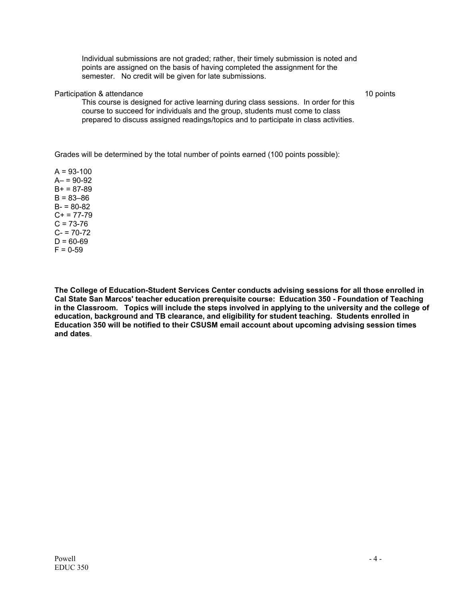Individual submissions are not graded; rather, their timely submission is noted and points are assigned on the basis of having completed the assignment for the semester. No credit will be given for late submissions.

### Participation & attendance 10 points and the set of the set of the set of the set of the set of the set of the set of the set of the set of the set of the set of the set of the set of the set of the set of the set of the s

This course is designed for active learning during class sessions. In order for this course to succeed for individuals and the group, students must come to class prepared to discuss assigned readings/topics and to participate in class activities.

Grades will be determined by the total number of points earned (100 points possible):

 $A = 93 - 100$  $A - 90 - 92$  $B+ = 87-89$  $B = 83 - 86$  $B - 80 - 82$  $C+ = 77-79$  $C = 73-76$  $C - 70 - 72$  $D = 60-69$  $F = 0 - 59$ 

**The College of Education-Student Services Center conducts advising sessions for all those enrolled in Cal State San Marcos' teacher education prerequisite course: Education 350 - Foundation of Teaching in the Classroom. Topics will include the steps involved in applying to the university and the college of education, background and TB clearance, and eligibility for student teaching. Students enrolled in Education 350 will be notified to their CSUSM email account about upcoming advising session times and dates**.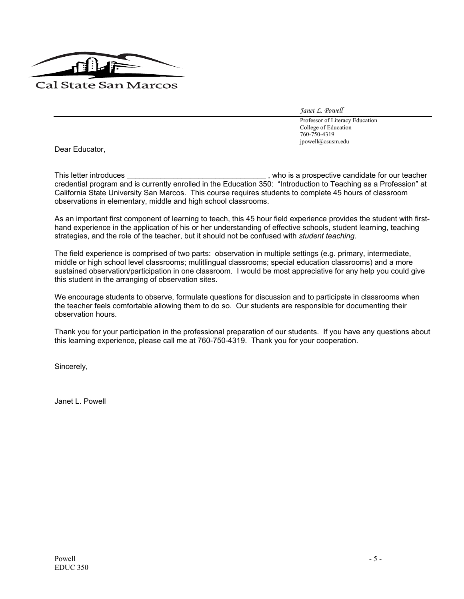

*Janet L. Powell* 

 Professor of Literacy Education College of Education 760-750-4319 jpowell@csusm.edu

Dear Educator,

This letter introduces **This letter introduces** and the state of the state of the state of the state of the state of teacher credential program and is currently enrolled in the Education 350: "Introduction to Teaching as a Profession" at California State University San Marcos. This course requires students to complete 45 hours of classroom observations in elementary, middle and high school classrooms.

As an important first component of learning to teach, this 45 hour field experience provides the student with firsthand experience in the application of his or her understanding of effective schools, student learning, teaching strategies, and the role of the teacher, but it should not be confused with *student teaching*.

The field experience is comprised of two parts: observation in multiple settings (e.g. primary, intermediate, middle or high school level classrooms; mulitlingual classrooms; special education classrooms) and a more sustained observation/participation in one classroom. I would be most appreciative for any help you could give this student in the arranging of observation sites.

We encourage students to observe, formulate questions for discussion and to participate in classrooms when the teacher feels comfortable allowing them to do so. Our students are responsible for documenting their observation hours.

Thank you for your participation in the professional preparation of our students. If you have any questions about this learning experience, please call me at 760-750-4319. Thank you for your cooperation.

Sincerely,

Janet L. Powell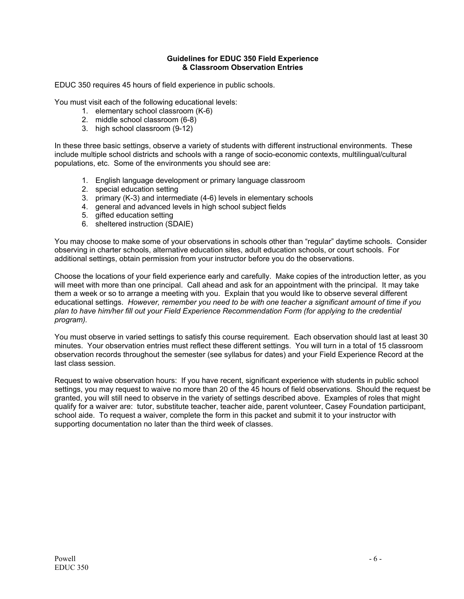## **Guidelines for EDUC 350 Field Experience & Classroom Observation Entries**

EDUC 350 requires 45 hours of field experience in public schools.

You must visit each of the following educational levels:

- 1. elementary school classroom (K-6)
- 2. middle school classroom (6-8)
- 3. high school classroom (9-12)

In these three basic settings, observe a variety of students with different instructional environments. These include multiple school districts and schools with a range of socio-economic contexts, multilingual/cultural populations, etc. Some of the environments you should see are:

- 1. English language development or primary language classroom
- 2. special education setting
- 3. primary (K-3) and intermediate (4-6) levels in elementary schools
- 4. general and advanced levels in high school subject fields
- 5. gifted education setting
- 6. sheltered instruction (SDAIE)

You may choose to make some of your observations in schools other than "regular" daytime schools. Consider observing in charter schools, alternative education sites, adult education schools, or court schools. For additional settings, obtain permission from your instructor before you do the observations.

Choose the locations of your field experience early and carefully. Make copies of the introduction letter, as you will meet with more than one principal. Call ahead and ask for an appointment with the principal. It may take them a week or so to arrange a meeting with you. Explain that you would like to observe several different educational settings. *However, remember you need to be with one teacher a significant amount of time if you plan to have him/her fill out your Field Experience Recommendation Form (for applying to the credential program).* 

You must observe in varied settings to satisfy this course requirement. Each observation should last at least 30 minutes. Your observation entries must reflect these different settings. You will turn in a total of 15 classroom observation records throughout the semester (see syllabus for dates) and your Field Experience Record at the last class session.

Request to waive observation hours: If you have recent, significant experience with students in public school settings, you may request to waive no more than 20 of the 45 hours of field observations. Should the request be granted, you will still need to observe in the variety of settings described above. Examples of roles that might qualify for a waiver are: tutor, substitute teacher, teacher aide, parent volunteer, Casey Foundation participant, school aide. To request a waiver, complete the form in this packet and submit it to your instructor with supporting documentation no later than the third week of classes.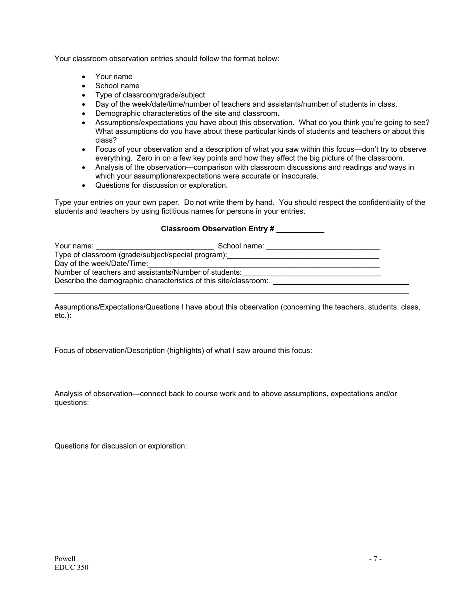Your classroom observation entries should follow the format below:

- Your name
- School name
- Type of classroom/grade/subject
- Day of the week/date/time/number of teachers and assistants/number of students in class.
- Demographic characteristics of the site and classroom.
- Assumptions/expectations you have about this observation. What do you think you're going to see? What assumptions do you have about these particular kinds of students and teachers or about this class?
- Focus of your observation and a description of what you saw within this focus—don't try to observe everything. Zero in on a few key points and how they affect the big picture of the classroom.
- Analysis of the observation—comparison with classroom discussions and readings *and* ways in which your assumptions/expectations were accurate or inaccurate.
- Questions for discussion or exploration.

Type your entries on your own paper. Do not write them by hand. You should respect the confidentiality of the students and teachers by using fictitious names for persons in your entries.

## **Classroom Observation Entry #**

| Your name:                                                       | School name: |  |
|------------------------------------------------------------------|--------------|--|
| Type of classroom (grade/subject/special program):               |              |  |
| Day of the week/Date/Time:                                       |              |  |
| Number of teachers and assistants/Number of students:            |              |  |
| Describe the demographic characteristics of this site/classroom: |              |  |
|                                                                  |              |  |

Assumptions/Expectations/Questions I have about this observation (concerning the teachers, students, class, etc.):

Focus of observation/Description (highlights) of what I saw around this focus:

Analysis of observation—connect back to course work and to above assumptions, expectations and/or questions:

Questions for discussion or exploration: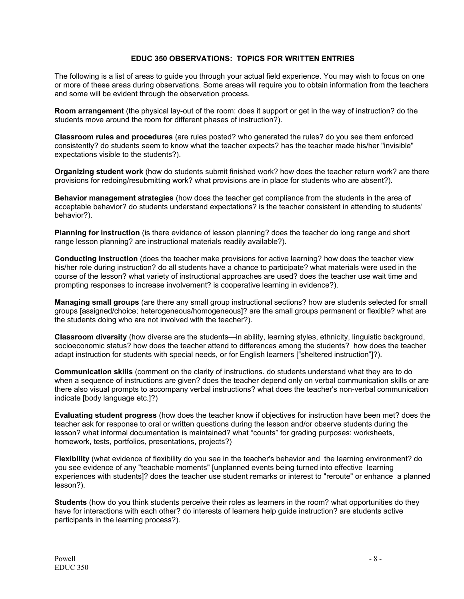## **EDUC 350 OBSERVATIONS: TOPICS FOR WRITTEN ENTRIES**

The following is a list of areas to guide you through your actual field experience. You may wish to focus on one or more of these areas during observations. Some areas will require you to obtain information from the teachers and some will be evident through the observation process.

**Room arrangement** (the physical lay-out of the room: does it support or get in the way of instruction? do the students move around the room for different phases of instruction?).

**Classroom rules and procedures** (are rules posted? who generated the rules? do you see them enforced consistently? do students seem to know what the teacher expects? has the teacher made his/her "invisible" expectations visible to the students?).

**Organizing student work** (how do students submit finished work? how does the teacher return work? are there provisions for redoing/resubmitting work? what provisions are in place for students who are absent?).

**Behavior management strategies** (how does the teacher get compliance from the students in the area of acceptable behavior? do students understand expectations? is the teacher consistent in attending to students' behavior?).

**Planning for instruction** (is there evidence of lesson planning? does the teacher do long range and short range lesson planning? are instructional materials readily available?).

**Conducting instruction** (does the teacher make provisions for active learning? how does the teacher view his/her role during instruction? do all students have a chance to participate? what materials were used in the course of the lesson? what variety of instructional approaches are used? does the teacher use wait time and prompting responses to increase involvement? is cooperative learning in evidence?).

**Managing small groups** (are there any small group instructional sections? how are students selected for small groups [assigned/choice; heterogeneous/homogeneous]? are the small groups permanent or flexible? what are the students doing who are not involved with the teacher?).

**Classroom diversity** (how diverse are the students—in ability, learning styles, ethnicity, linguistic background, socioeconomic status? how does the teacher attend to differences among the students? how does the teacher adapt instruction for students with special needs, or for English learners ["sheltered instruction"]?).

**Communication skills** (comment on the clarity of instructions. do students understand what they are to do when a sequence of instructions are given? does the teacher depend only on verbal communication skills or are there also visual prompts to accompany verbal instructions? what does the teacher's non-verbal communication indicate [body language etc.]?)

**Evaluating student progress** (how does the teacher know if objectives for instruction have been met? does the teacher ask for response to oral or written questions during the lesson and/or observe students during the lesson? what informal documentation is maintained? what "counts" for grading purposes: worksheets, homework, tests, portfolios, presentations, projects?)

**Flexibility** (what evidence of flexibility do you see in the teacher's behavior and the learning environment? do you see evidence of any "teachable moments" [unplanned events being turned into effective learning experiences with students]? does the teacher use student remarks or interest to "reroute" or enhance a planned lesson?).

**Students** (how do you think students perceive their roles as learners in the room? what opportunities do they have for interactions with each other? do interests of learners help guide instruction? are students active participants in the learning process?).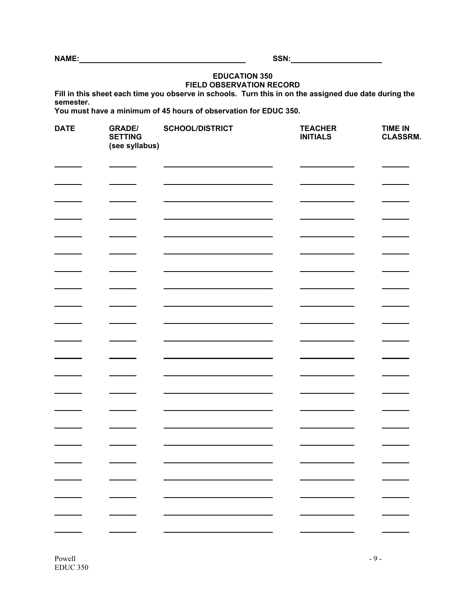**NAME: SSN:** 

## **EDUCATION 350 FIELD OBSERVATION RECORD**

**Fill in this sheet each time you observe in schools. Turn this in on the assigned due date during the semester.** 

**You must have a minimum of 45 hours of observation for EDUC 350.** 

| <b>DATE</b> | <b>GRADE/</b><br><b>SETTING</b><br>(see syllabus) | <b>SCHOOL/DISTRICT</b> | <b>TEACHER</b><br><b>INITIALS</b> | <b>TIME IN</b><br><b>CLASSRM.</b> |
|-------------|---------------------------------------------------|------------------------|-----------------------------------|-----------------------------------|
|             |                                                   |                        |                                   |                                   |
|             |                                                   |                        |                                   |                                   |
|             |                                                   |                        |                                   |                                   |
|             |                                                   |                        |                                   |                                   |
|             |                                                   |                        |                                   |                                   |
|             |                                                   |                        |                                   |                                   |
|             |                                                   |                        |                                   |                                   |
|             |                                                   |                        |                                   |                                   |
|             |                                                   |                        |                                   |                                   |
|             |                                                   |                        |                                   |                                   |
|             |                                                   |                        |                                   |                                   |
|             |                                                   |                        |                                   |                                   |
|             |                                                   |                        |                                   |                                   |
|             |                                                   |                        |                                   |                                   |
|             |                                                   |                        |                                   |                                   |
|             |                                                   |                        |                                   |                                   |
|             |                                                   |                        |                                   |                                   |
|             |                                                   |                        |                                   |                                   |
| Ξ,          | Ξ,                                                |                        | Ξ,                                |                                   |
|             |                                                   |                        |                                   |                                   |
|             |                                                   |                        |                                   |                                   |

 $Powell$  - 9 -EDUC 350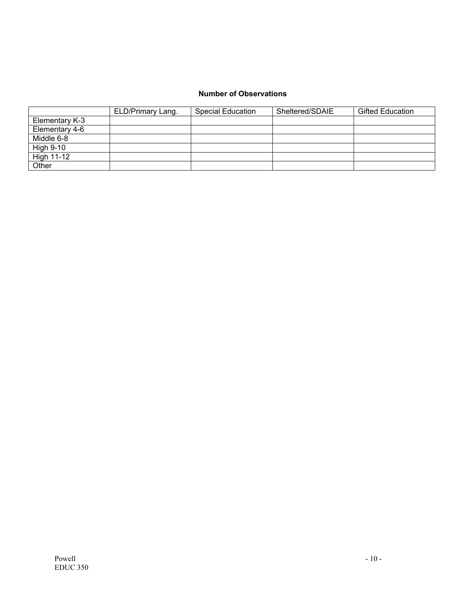## **Number of Observations**

|                | ELD/Primary Lang. | Special Education | Sheltered/SDAIE | <b>Gifted Education</b> |
|----------------|-------------------|-------------------|-----------------|-------------------------|
| Elementary K-3 |                   |                   |                 |                         |
| Elementary 4-6 |                   |                   |                 |                         |
| Middle 6-8     |                   |                   |                 |                         |
| High 9-10      |                   |                   |                 |                         |
| High 11-12     |                   |                   |                 |                         |
| Other          |                   |                   |                 |                         |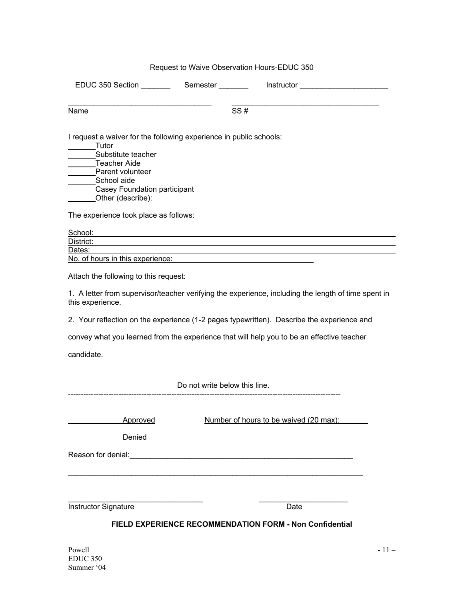# Request to Waive Observation Hours-EDUC 350 EDUC 350 Section \_\_\_\_\_\_\_ Semester \_\_\_\_\_\_\_ Instructor \_\_\_\_\_\_\_\_\_\_\_\_\_\_\_\_\_\_\_\_\_ \_\_\_\_\_\_\_\_\_\_\_\_\_\_\_\_\_\_\_\_\_\_\_\_\_\_\_\_\_\_\_\_\_\_ \_\_\_\_\_\_\_\_\_\_\_\_\_\_\_\_\_\_\_\_\_\_\_\_\_\_\_\_\_\_\_\_\_\_\_  $\overline{\text{Name}}$   $\overline{\text{SS #}}$ I request a waiver for the following experience in public schools: **Tutor** Substitute teacher Teacher Aide Parent volunteer School aide **Casey Foundation participant** Other (describe): The experience took place as follows: School: District: Dates: No. of hours in this experience: Attach the following to this request: 1. A letter from supervisor/teacher verifying the experience, including the length of time spent in this experience. 2. Your reflection on the experience (1-2 pages typewritten). Describe the experience and convey what you learned from the experience that will help you to be an effective teacher candidate. Do not write below this line. ------------------------------------------------------------------------------------------------------------ Approved Number of hours to be waived (20 max): Denied Reason for denial: example of the state of the state of the state of the state of the state of the state of the state of the state of the state of the state of the state of the state of the state of the state of the state  $\_$  , and the set of the set of the set of the set of the set of the set of the set of the set of the set of the set of the set of the set of the set of the set of the set of the set of the set of the set of the set of th  $\_$  , and the set of the set of the set of the set of the set of the set of the set of the set of the set of the set of the set of the set of the set of the set of the set of the set of the set of the set of the set of th Instructor Signature Date

# **FIELD EXPERIENCE RECOMMENDATION FORM - Non Confidential**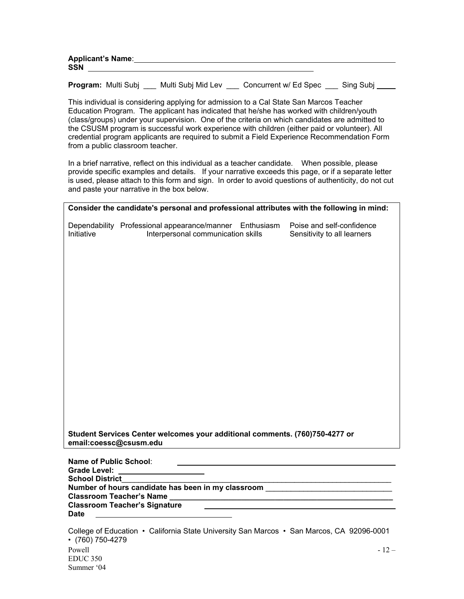| Applicant's Name: |  |
|-------------------|--|
| <b>SSN</b>        |  |
|                   |  |

**Program:** Multi Subj Multi Subj Mid Lev Concurrent w/ Ed Spec Sing Subj

This individual is considering applying for admission to a Cal State San Marcos Teacher Education Program. The applicant has indicated that he/she has worked with children/youth (class/groups) under your supervision. One of the criteria on which candidates are admitted to the CSUSM program is successful work experience with children (either paid or volunteer). All credential program applicants are required to submit a Field Experience Recommendation Form from a public classroom teacher.

 In a brief narrative, reflect on this individual as a teacher candidate. When possible, please provide specific examples and details. If your narrative exceeds this page, or if a separate letter is used, please attach to this form and sign. In order to avoid questions of authenticity, do not cut and paste your narrative in the box below.

| Consider the candidate's personal and professional attributes with the following in mind: |                                                                                                                          |  |                                                          |  |
|-------------------------------------------------------------------------------------------|--------------------------------------------------------------------------------------------------------------------------|--|----------------------------------------------------------|--|
| Initiative                                                                                | Dependability Professional appearance/manner Enthusiasm<br>Interpersonal communication skills                            |  | Poise and self-confidence<br>Sensitivity to all learners |  |
|                                                                                           |                                                                                                                          |  |                                                          |  |
|                                                                                           |                                                                                                                          |  |                                                          |  |
|                                                                                           |                                                                                                                          |  |                                                          |  |
|                                                                                           |                                                                                                                          |  |                                                          |  |
|                                                                                           | Student Services Center welcomes your additional comments. (760)750-4277 or<br>email:coessc@csusm.edu                    |  |                                                          |  |
| Name of Public School:<br><b>Grade Level:</b><br><b>School District</b>                   |                                                                                                                          |  |                                                          |  |
|                                                                                           | Number of hours candidate has been in my classroom _____________________________<br><b>Classroom Teacher's Signature</b> |  |                                                          |  |
| <b>Date</b>                                                                               | <u> 1980 - Andrea Station Books, amerikansk politik (</u>                                                                |  |                                                          |  |

 $Powell$   $-12$  – EDUC 350 Summer '04 College of Education • California State University San Marcos • San Marcos, CA 92096-0001 • (760) 750-4279